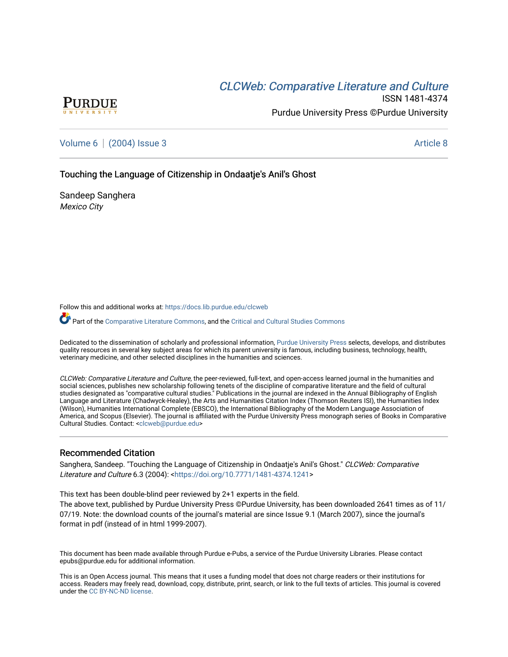# CLCW[eb: Comparative Liter](https://docs.lib.purdue.edu/clcweb)ature and Culture



ISSN 1481-4374 Purdue University Press ©Purdue University

[Volume 6](https://docs.lib.purdue.edu/clcweb/vol6) | [\(2004\) Issue 3](https://docs.lib.purdue.edu/clcweb/vol6/iss3) Article 8

Touching the Language of Citizenship in Ondaatje's Anil's Ghost

Sandeep Sanghera Mexico City

Follow this and additional works at: [https://docs.lib.purdue.edu/clcweb](https://docs.lib.purdue.edu/clcweb?utm_source=docs.lib.purdue.edu%2Fclcweb%2Fvol6%2Fiss3%2F8&utm_medium=PDF&utm_campaign=PDFCoverPages)

Part of the [Comparative Literature Commons,](http://network.bepress.com/hgg/discipline/454?utm_source=docs.lib.purdue.edu%2Fclcweb%2Fvol6%2Fiss3%2F8&utm_medium=PDF&utm_campaign=PDFCoverPages) and the Critical and Cultural Studies Commons

Dedicated to the dissemination of scholarly and professional information, [Purdue University Press](http://www.thepress.purdue.edu/) selects, develops, and distributes quality resources in several key subject areas for which its parent university is famous, including business, technology, health, veterinary medicine, and other selected disciplines in the humanities and sciences.

CLCWeb: Comparative Literature and Culture, the peer-reviewed, full-text, and open-access learned journal in the humanities and social sciences, publishes new scholarship following tenets of the discipline of comparative literature and the field of cultural studies designated as "comparative cultural studies." Publications in the journal are indexed in the Annual Bibliography of English Language and Literature (Chadwyck-Healey), the Arts and Humanities Citation Index (Thomson Reuters ISI), the Humanities Index (Wilson), Humanities International Complete (EBSCO), the International Bibliography of the Modern Language Association of America, and Scopus (Elsevier). The journal is affiliated with the Purdue University Press monograph series of Books in Comparative Cultural Studies. Contact: [<clcweb@purdue.edu](mailto:clcweb@purdue.edu)>

### Recommended Citation

Sanghera, Sandeep. "Touching the Language of Citizenship in Ondaatje's Anil's Ghost." CLCWeb: Comparative Literature and Culture 6.3 (2004): [<https://doi.org/10.7771/1481-4374.1241](https://doi.org/10.7771/1481-4374.1241)>

This text has been double-blind peer reviewed by 2+1 experts in the field.

The above text, published by Purdue University Press ©Purdue University, has been downloaded 2641 times as of 11/ 07/19. Note: the download counts of the journal's material are since Issue 9.1 (March 2007), since the journal's format in pdf (instead of in html 1999-2007).

This document has been made available through Purdue e-Pubs, a service of the Purdue University Libraries. Please contact epubs@purdue.edu for additional information.

This is an Open Access journal. This means that it uses a funding model that does not charge readers or their institutions for access. Readers may freely read, download, copy, distribute, print, search, or link to the full texts of articles. This journal is covered under the [CC BY-NC-ND license.](https://creativecommons.org/licenses/by-nc-nd/4.0/)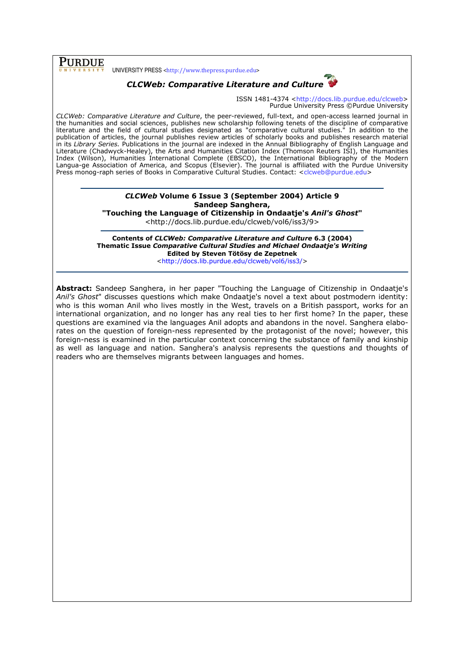# PURDUE

UNIVERSITY PRESS <http://www.thepress.purdue.edu>



ISSN 1481-4374 <http://docs.lib.purdue.edu/clcweb> Purdue University Press ©Purdue University

CLCWeb: Comparative Literature and Culture, the peer-reviewed, full-text, and open-access learned journal in the humanities and social sciences, publishes new scholarship following tenets of the discipline of comparative literature and the field of cultural studies designated as "comparative cultural studies." In addition to the publication of articles, the journal publishes review articles of scholarly books and publishes research material in its Library Series. Publications in the journal are indexed in the Annual Bibliography of English Language and Literature (Chadwyck-Healey), the Arts and Humanities Citation Index (Thomson Reuters ISI), the Humanities Index (Wilson), Humanities International Complete (EBSCO), the International Bibliography of the Modern Langua-ge Association of America, and Scopus (Elsevier). The journal is affiliated with the Purdue University Press monog-raph series of Books in Comparative Cultural Studies. Contact: <clcweb@purdue.edu>

## CLCWeb Volume 6 Issue 3 (September 2004) Article 9 Sandeep Sanghera,

"Touching the Language of Citizenship in Ondaatje's Anil's Ghost"

<http://docs.lib.purdue.edu/clcweb/vol6/iss3/9>

Contents of CLCWeb: Comparative Literature and Culture 6.3 (2004) Thematic Issue Comparative Cultural Studies and Michael Ondaatje's Writing Edited by Steven Tötösy de Zepetnek <http://docs.lib.purdue.edu/clcweb/vol6/iss3/>

Abstract: Sandeep Sanghera, in her paper "Touching the Language of Citizenship in Ondaatje's Anil's Ghost" discusses questions which make Ondaatje's novel a text about postmodern identity: who is this woman Anil who lives mostly in the West, travels on a British passport, works for an international organization, and no longer has any real ties to her first home? In the paper, these questions are examined via the languages Anil adopts and abandons in the novel. Sanghera elaborates on the question of foreign-ness represented by the protagonist of the novel; however, this foreign-ness is examined in the particular context concerning the substance of family and kinship as well as language and nation. Sanghera's analysis represents the questions and thoughts of readers who are themselves migrants between languages and homes.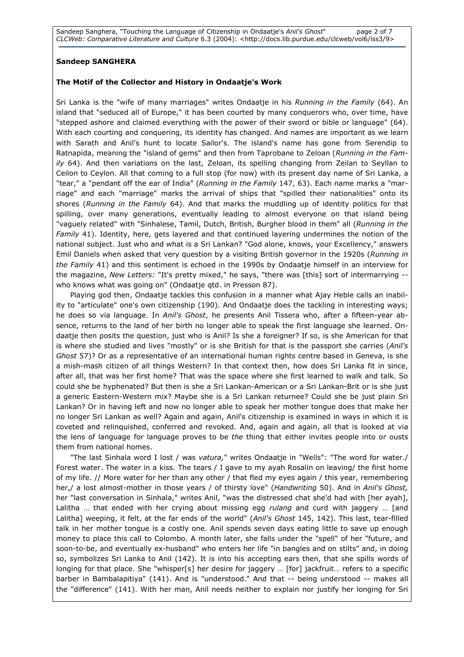Sandeep Sanghera, "Touching the Language of Citizenship in Ondaatje's Anil's Ghost" page 2 of 7 CLCWeb: Comparative Literature and Culture 6.3 (2004): <http://docs.lib.purdue.edu/clcweb/vol6/iss3/9>

#### Sandeep SANGHERA

#### The Motif of the Collector and History in Ondaatje's Work

Sri Lanka is the "wife of many marriages" writes Ondaatje in his Running in the Family (64). An island that "seduced all of Europe," it has been courted by many conquerors who, over time, have "stepped ashore and claimed everything with the power of their sword or bible or language" (64). With each courting and conquering, its identity has changed. And names are important as we learn with Sarath and Anil's hunt to locate Sailor's. The island's name has gone from Serendip to Ratnapida, meaning the "island of gems" and then from Taprobane to Zeloan (Running in the Family 64). And then variations on the last, Zeloan, its spelling changing from Zeilan to Seyllan to Ceilon to Ceylon. All that coming to a full stop (for now) with its present day name of Sri Lanka, a "tear," a "pendant off the ear of India" (Running in the Family 147, 63). Each name marks a "marriage" and each "marriage" marks the arrival of ships that "spilled their nationalities" onto its shores (Running in the Family 64). And that marks the muddling up of identity politics for that spilling, over many generations, eventually leading to almost everyone on that island being "vaguely related" with "Sinhalese, Tamil, Dutch, British, Burgher blood in them" all (Running in the Family 41). Identity, here, gets layered and that continued layering undermines the notion of the national subject. Just who and what is a Sri Lankan? "God alone, knows, your Excellency," answers Emil Daniels when asked that very question by a visiting British governor in the 1920s (Running in the Family 41) and this sentiment is echoed in the 1990s by Ondaatie himself in an interview for the magazine, New Letters: "It's pretty mixed," he says, "there was [this] sort of intermarrying -who knows what was going on" (Ondaatje qtd. in Presson 87).

Playing god then, Ondaatje tackles this confusion in a manner what Ajay Heble calls an inability to "articulate" one's own citizenship (190). And Ondaatje does the tackling in interesting ways; he does so via language. In Anil's Ghost, he presents Anil Tissera who, after a fifteen-year absence, returns to the land of her birth no longer able to speak the first language she learned. Ondaatje then posits the question, just who is Anil? Is she a foreigner? If so, is she American for that is where she studied and lives "mostly" or is she British for that is the passport she carries (Anil's Ghost 57)? Or as a representative of an international human rights centre based in Geneva, is she a mish-mash citizen of all things Western? In that context then, how does Sri Lanka fit in since, after all, that was her first home? That was the space where she first learned to walk and talk. So could she be hyphenated? But then is she a Sri Lankan-American or a Sri Lankan-Brit or is she just a generic Eastern-Western mix? Maybe she is a Sri Lankan returnee? Could she be just plain Sri Lankan? Or in having left and now no longer able to speak her mother tongue does that make her no longer Sri Lankan as well? Again and again, Anil's citizenship is examined in ways in which it is coveted and relinquished, conferred and revoked. And, again and again, all that is looked at via the lens of language for language proves to be the thing that either invites people into or ousts them from national homes.

"The last Sinhala word I lost / was vatura," writes Ondaatje in "Wells": "The word for water./ Forest water. The water in a kiss. The tears / I gave to my ayah Rosalin on leaving/ the first home of my life. // More water for her than any other / that fled my eyes again / this year, remembering her,/ a lost almost-mother in those years / of thirsty love" (Handwriting 50). And in Anil's Ghost, her "last conversation in Sinhala," writes Anil, "was the distressed chat she'd had with [her ayah], Lalitha ... that ended with her crying about missing egg *rulang* and curd with jaggery ... [and Lalitha] weeping, it felt, at the far ends of the world" (Anil's Ghost 145, 142). This last, tear-filled talk in her mother tongue is a costly one. Anil spends seven days eating little to save up enough money to place this call to Colombo. A month later, she falls under the "spell" of her "future, and soon-to-be, and eventually ex-husband" who enters her life "in bangles and on stilts" and, in doing so, symbolizes Sri Lanka to Anil (142). It is into his accepting ears then, that she spills words of longing for that place. She "whisper[s] her desire for jaggery … [for] jackfruit… refers to a specific barber in Bambalapitiya" (141). And is "understood." And that -- being understood -- makes all the "difference" (141). With her man, Anil needs neither to explain nor justify her longing for Sri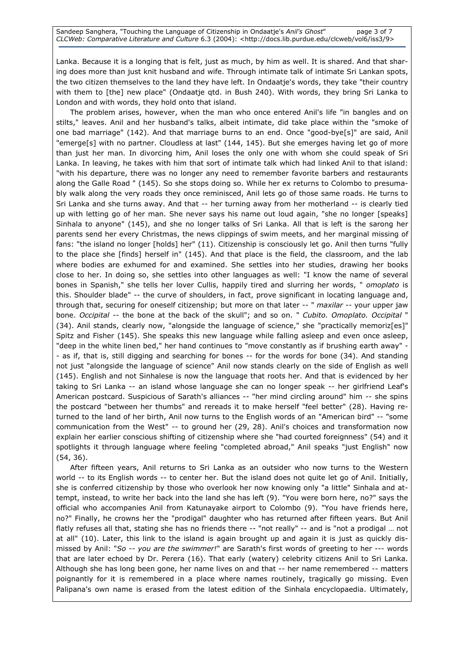Lanka. Because it is a longing that is felt, just as much, by him as well. It is shared. And that sharing does more than just knit husband and wife. Through intimate talk of intimate Sri Lankan spots, the two citizen themselves to the land they have left. In Ondaatje's words, they take "their country with them to [the] new place" (Ondaatje qtd. in Bush 240). With words, they bring Sri Lanka to London and with words, they hold onto that island.

The problem arises, however, when the man who once entered Anil's life "in bangles and on stilts," leaves. Anil and her husband's talks, albeit intimate, did take place within the "smoke of one bad marriage" (142). And that marriage burns to an end. Once "good-bye[s]" are said, Anil "emerge[s] with no partner. Cloudless at last" (144, 145). But she emerges having let go of more than just her man. In divorcing him, Anil loses the only one with whom she could speak of Sri Lanka. In leaving, he takes with him that sort of intimate talk which had linked Anil to that island: "with his departure, there was no longer any need to remember favorite barbers and restaurants along the Galle Road " (145). So she stops doing so. While her ex returns to Colombo to presumably walk along the very roads they once reminisced, Anil lets go of those same roads. He turns to Sri Lanka and she turns away. And that -- her turning away from her motherland -- is clearly tied up with letting go of her man. She never says his name out loud again, "she no longer [speaks] Sinhala to anyone" (145), and she no longer talks of Sri Lanka. All that is left is the sarong her parents send her every Christmas, the news clippings of swim meets, and her marginal missing of fans: "the island no longer [holds] her" (11). Citizenship is consciously let go. Anil then turns "fully to the place she [finds] herself in" (145). And that place is the field, the classroom, and the lab where bodies are exhumed for and examined. She settles into her studies, drawing her books close to her. In doing so, she settles into other languages as well: "I know the name of several bones in Spanish," she tells her lover Cullis, happily tired and slurring her words, " omoplato is this. Shoulder blade" -- the curve of shoulders, in fact, prove significant in locating language and, through that, securing for oneself citizenship; but more on that later -- " maxilar -- your upper jaw bone. Occipital -- the bone at the back of the skull"; and so on. " Cubito. Omoplato. Occipital " (34). Anil stands, clearly now, "alongside the language of science," she "practically memoriz[es]" Spitz and Fisher (145). She speaks this new language while falling asleep and even once asleep, "deep in the white linen bed," her hand continues to "move constantly as if brushing earth away" - - as if, that is, still digging and searching for bones -- for the words for bone (34). And standing not just "alongside the language of science" Anil now stands clearly on the side of English as well (145). English and not Sinhalese is now the language that roots her. And that is evidenced by her taking to Sri Lanka -- an island whose language she can no longer speak -- her girlfriend Leaf's American postcard. Suspicious of Sarath's alliances -- "her mind circling around" him -- she spins the postcard "between her thumbs" and rereads it to make herself "feel better" (28). Having returned to the land of her birth, Anil now turns to the English words of an "American bird" -- "some communication from the West" -- to ground her (29, 28). Anil's choices and transformation now explain her earlier conscious shifting of citizenship where she "had courted foreignness" (54) and it spotlights it through language where feeling "completed abroad," Anil speaks "just English" now (54, 36).

After fifteen years, Anil returns to Sri Lanka as an outsider who now turns to the Western world -- to its English words -- to center her. But the island does not quite let go of Anil. Initially, she is conferred citizenship by those who overlook her now knowing only "a little" Sinhala and attempt, instead, to write her back into the land she has left (9). "You were born here, no?" says the official who accompanies Anil from Katunayake airport to Colombo (9). "You have friends here, no?" Finally, he crowns her the "prodigal" daughter who has returned after fifteen years. But Anil flatly refuses all that, stating she has no friends there -- "not really" -- and is "not a prodigal … not at all" (10). Later, this link to the island is again brought up and again it is just as quickly dismissed by Anil: "So -- you are the swimmer!" are Sarath's first words of greeting to her --- words that are later echoed by Dr. Perera (16). That early (watery) celebrity citizens Anil to Sri Lanka. Although she has long been gone, her name lives on and that -- her name remembered -- matters poignantly for it is remembered in a place where names routinely, tragically go missing. Even Palipana's own name is erased from the latest edition of the Sinhala encyclopaedia. Ultimately,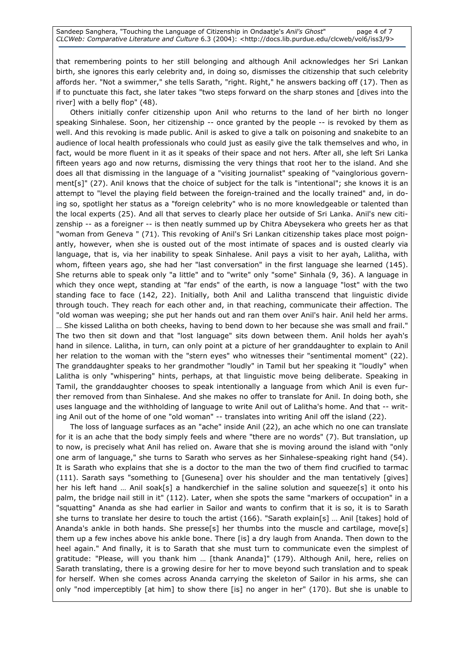that remembering points to her still belonging and although Anil acknowledges her Sri Lankan birth, she ignores this early celebrity and, in doing so, dismisses the citizenship that such celebrity affords her. "Not a swimmer," she tells Sarath, "right. Right," he answers backing off (17). Then as if to punctuate this fact, she later takes "two steps forward on the sharp stones and [dives into the river] with a belly flop" (48).

Others initially confer citizenship upon Anil who returns to the land of her birth no longer speaking Sinhalese. Soon, her citizenship -- once granted by the people -- is revoked by them as well. And this revoking is made public. Anil is asked to give a talk on poisoning and snakebite to an audience of local health professionals who could just as easily give the talk themselves and who, in fact, would be more fluent in it as it speaks of their space and not hers. After all, she left Sri Lanka fifteen years ago and now returns, dismissing the very things that root her to the island. And she does all that dismissing in the language of a "visiting journalist" speaking of "vainglorious government[s]" (27). Anil knows that the choice of subject for the talk is "intentional"; she knows it is an attempt to "level the playing field between the foreign-trained and the locally trained" and, in doing so, spotlight her status as a "foreign celebrity" who is no more knowledgeable or talented than the local experts (25). And all that serves to clearly place her outside of Sri Lanka. Anil's new citizenship -- as a foreigner -- is then neatly summed up by Chitra Abeysekera who greets her as that "woman from Geneva " (71). This revoking of Anil's Sri Lankan citizenship takes place most poignantly, however, when she is ousted out of the most intimate of spaces and is ousted clearly via language, that is, via her inability to speak Sinhalese. Anil pays a visit to her ayah, Lalitha, with whom, fifteen years ago, she had her "last conversation" in the first language she learned (145). She returns able to speak only "a little" and to "write" only "some" Sinhala (9, 36). A language in which they once wept, standing at "far ends" of the earth, is now a language "lost" with the two standing face to face (142, 22). Initially, both Anil and Lalitha transcend that linguistic divide through touch. They reach for each other and, in that reaching, communicate their affection. The "old woman was weeping; she put her hands out and ran them over Anil's hair. Anil held her arms. … She kissed Lalitha on both cheeks, having to bend down to her because she was small and frail." The two then sit down and that "lost language" sits down between them. Anil holds her ayah's hand in silence. Lalitha, in turn, can only point at a picture of her granddaughter to explain to Anil her relation to the woman with the "stern eyes" who witnesses their "sentimental moment" (22). The granddaughter speaks to her grandmother "loudly" in Tamil but her speaking it "loudly" when Lalitha is only "whispering" hints, perhaps, at that linguistic move being deliberate. Speaking in Tamil, the granddaughter chooses to speak intentionally a language from which Anil is even further removed from than Sinhalese. And she makes no offer to translate for Anil. In doing both, she uses language and the withholding of language to write Anil out of Lalitha's home. And that -- writing Anil out of the home of one "old woman" -- translates into writing Anil off the island (22).

The loss of language surfaces as an "ache" inside Anil (22), an ache which no one can translate for it is an ache that the body simply feels and where "there are no words" (7). But translation, up to now, is precisely what Anil has relied on. Aware that she is moving around the island with "only one arm of language," she turns to Sarath who serves as her Sinhalese-speaking right hand (54). It is Sarath who explains that she is a doctor to the man the two of them find crucified to tarmac (111). Sarath says "something to [Gunesena] over his shoulder and the man tentatively [gives] her his left hand ... Anil soak[s] a handkerchief in the saline solution and squeeze[s] it onto his palm, the bridge nail still in it" (112). Later, when she spots the same "markers of occupation" in a "squatting" Ananda as she had earlier in Sailor and wants to confirm that it is so, it is to Sarath she turns to translate her desire to touch the artist (166). "Sarath explain[s] … Anil [takes] hold of Ananda's ankle in both hands. She presse[s] her thumbs into the muscle and cartilage, move[s] them up a few inches above his ankle bone. There [is] a dry laugh from Ananda. Then down to the heel again." And finally, it is to Sarath that she must turn to communicate even the simplest of gratitude: "Please, will you thank him … [thank Ananda]" (179). Although Anil, here, relies on Sarath translating, there is a growing desire for her to move beyond such translation and to speak for herself. When she comes across Ananda carrying the skeleton of Sailor in his arms, she can only "nod imperceptibly [at him] to show there [is] no anger in her" (170). But she is unable to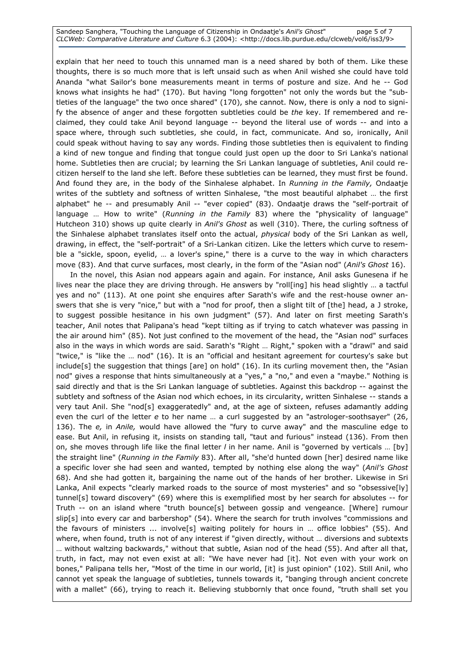#### Sandeep Sanghera, "Touching the Language of Citizenship in Ondaatje's Anil's Ghost" page 5 of 7 CLCWeb: Comparative Literature and Culture 6.3 (2004): <http://docs.lib.purdue.edu/clcweb/vol6/iss3/9>

explain that her need to touch this unnamed man is a need shared by both of them. Like these thoughts, there is so much more that is left unsaid such as when Anil wished she could have told Ananda "what Sailor's bone measurements meant in terms of posture and size. And he -- God knows what insights he had" (170). But having "long forgotten" not only the words but the "subtleties of the language" the two once shared" (170), she cannot. Now, there is only a nod to signify the absence of anger and these forgotten subtleties could be the key. If remembered and reclaimed, they could take Anil beyond language -- beyond the literal use of words -- and into a space where, through such subtleties, she could, in fact, communicate. And so, ironically, Anil could speak without having to say any words. Finding those subtleties then is equivalent to finding a kind of new tongue and finding that tongue could just open up the door to Sri Lanka's national home. Subtleties then are crucial; by learning the Sri Lankan language of subtleties, Anil could recitizen herself to the land she left. Before these subtleties can be learned, they must first be found. And found they are, in the body of the Sinhalese alphabet. In Running in the Family, Ondaatje writes of the subtlety and softness of written Sinhalese, "the most beautiful alphabet … the first alphabet" he -- and presumably Anil -- "ever copied" (83). Ondaatje draws the "self-portrait of language ... How to write" (Running in the Family 83) where the "physicality of language" Hutcheon 310) shows up quite clearly in Anil's Ghost as well (310). There, the curling softness of the Sinhalese alphabet translates itself onto the actual, *physical* body of the Sri Lankan as well, drawing, in effect, the "self-portrait" of a Sri-Lankan citizen. Like the letters which curve to resemble a "sickle, spoon, eyelid, … a lover's spine," there is a curve to the way in which characters move (83). And that curve surfaces, most clearly, in the form of the "Asian nod" (Anil's Ghost 16).

In the novel, this Asian nod appears again and again. For instance, Anil asks Gunesena if he lives near the place they are driving through. He answers by "roll[ing] his head slightly … a tactful yes and no" (113). At one point she enquires after Sarath's wife and the rest-house owner answers that she is very "nice," but with a "nod for proof, then a slight tilt of [the] head, a J stroke, to suggest possible hesitance in his own judgment" (57). And later on first meeting Sarath's teacher, Anil notes that Palipana's head "kept tilting as if trying to catch whatever was passing in the air around him" (85). Not just confined to the movement of the head, the "Asian nod" surfaces also in the ways in which words are said. Sarath's "Right … Right," spoken with a "drawl" and said "twice," is "like the … nod" (16). It is an "official and hesitant agreement for courtesy's sake but include[s] the suggestion that things [are] on hold" (16). In its curling movement then, the "Asian nod" gives a response that hints simultaneously at a "yes," a "no," and even a "maybe." Nothing is said directly and that is the Sri Lankan language of subtleties. Against this backdrop -- against the subtlety and softness of the Asian nod which echoes, in its circularity, written Sinhalese -- stands a very taut Anil. She "nod[s] exaggeratedly" and, at the age of sixteen, refuses adamantly adding even the curl of the letter e to her name … a curl suggested by an "astrologer-soothsayer" (26, 136). The e, in Anile, would have allowed the "fury to curve away" and the masculine edge to ease. But Anil, in refusing it, insists on standing tall, "taut and furious" instead (136). From then on, she moves through life like the final letter  $\ell$  in her name. Anil is "governed by verticals ... [by] the straight line" (Running in the Family 83). After all, "she'd hunted down [her] desired name like a specific lover she had seen and wanted, tempted by nothing else along the way" (Anil's Ghost 68). And she had gotten it, bargaining the name out of the hands of her brother. Likewise in Sri Lanka, Anil expects "clearly marked roads to the source of most mysteries" and so "obsessive[ly] tunnel[s] toward discovery" (69) where this is exemplified most by her search for absolutes -- for Truth -- on an island where "truth bounce[s] between gossip and vengeance. [Where] rumour slip[s] into every car and barbershop" (54). Where the search for truth involves "commissions and the favours of ministers ... involve[s] waiting politely for hours in ... office lobbies" (55). And where, when found, truth is not of any interest if "given directly, without … diversions and subtexts … without waltzing backwards," without that subtle, Asian nod of the head (55). And after all that, truth, in fact, may not even exist at all: "We have never had [it]. Not even with your work on bones," Palipana tells her, "Most of the time in our world, [it] is just opinion" (102). Still Anil, who cannot yet speak the language of subtleties, tunnels towards it, "banging through ancient concrete with a mallet" (66), trying to reach it. Believing stubbornly that once found, "truth shall set you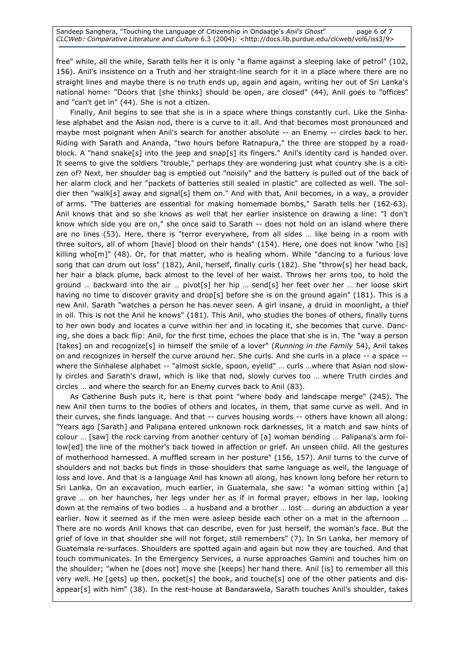free" while, all the while, Sarath tells her it is only "a flame against a sleeping lake of petrol" (102, 156). Anil's insistence on a Truth and her straight-line search for it in a place where there are no straight lines and maybe there is no truth ends up, again and again, writing her out of Sri Lanka's national home: "Doors that [she thinks] should be open, are closed" (44), Anil goes to "offices" and "can't get in" (44). She is not a citizen.

Finally, Anil begins to see that she is in a space where things constantly curl. Like the Sinhalese alphabet and the Asian nod, there is a curve to it all. And that becomes most pronounced and maybe most poignant when Anil's search for another absolute -- an Enemy -- circles back to her. Riding with Sarath and Ananda, "two hours before Ratnapura," the three are stopped by a roadblock. A "hand snake[s] into the jeep and snap[s] its fingers." Anil's identity card is handed over. It seems to give the soldiers "trouble," perhaps they are wondering just what country she is a citizen of? Next, her shoulder bag is emptied out "noisily" and the battery is pulled out of the back of her alarm clock and her "packets of batteries still sealed in plastic" are collected as well. The soldier then "walk[s] away and signal[s] them on." And with that, Anil becomes, in a way, a provider of arms. "The batteries are essential for making homemade bombs," Sarath tells her (162-63). Anil knows that and so she knows as well that her earlier insistence on drawing a line: "I don't know which side you are on," she once said to Sarath -- does not hold on an island where there are no lines (53). Here, there is "terror everywhere, from all sides … like being in a room with three suitors, all of whom [have] blood on their hands" (154). Here, one does not know "who [is] killing who[m]" (48). Or, for that matter, who is healing whom. While "dancing to a furious love song that can drum out loss" (182), Anil, herself, finally curls (182). She "throw[s] her head back, her hair a black plume, back almost to the level of her waist. Throws her arms too, to hold the ground … backward into the air … pivot[s] her hip … send[s] her feet over her … her loose skirt having no time to discover gravity and drop[s] before she is on the ground again" (181). This is a new Anil. Sarath "watches a person he has never seen. A girl insane, a druid in moonlight, a thief in oil. This is not the Anil he knows" (181). This Anil, who studies the bones of others, finally turns to her own body and locates a curve within her and in locating it, she becomes that curve. Dancing, she does a back flip: Anil, for the first time, echoes the place that she is in. The "way a person [takes] on and recognize[s] in himself the smile of a lover" (Running in the Family 54), Anil takes on and recognizes in herself the curve around her. She curls. And she curls in a place -- a space - where the Sinhalese alphabet -- "almost sickle, spoon, eyelid" ... curls ...where that Asian nod slowly circles and Sarath's drawl, which is like that nod, slowly curves too … where Truth circles and circles … and where the search for an Enemy curves back to Anil (83).

As Catherine Bush puts it, here is that point "where body and landscape merge" (245). The new Anil then turns to the bodies of others and locates, in them, that same curve as well. And in their curves, she finds language. And that -- curves housing words -- others have known all along: "Years ago [Sarath] and Palipana entered unknown rock darknesses, lit a match and saw hints of colour … [saw] the rock carving from another century of [a] woman bending … Palipana's arm follow[ed] the line of the mother's back bowed in affection or grief. An unseen child. All the gestures of motherhood harnessed. A muffled scream in her posture" (156, 157). Anil turns to the curve of shoulders and not backs but finds in those shoulders that same language as well, the language of loss and love. And that is a language Anil has known all along, has known long before her return to Sri Lanka. On an excavation, much earlier, in Guatemala, she saw: "a woman sitting within [a] grave … on her haunches, her legs under her as if in formal prayer, elbows in her lap, looking down at the remains of two bodies … a husband and a brother … lost … during an abduction a year earlier. Now it seemed as if the men were asleep beside each other on a mat in the afternoon … There are no words Anil knows that can describe, even for just herself, the woman's face. But the grief of love in that shoulder she will not forget, still remembers" (7). In Sri Lanka, her memory of Guatemala re-surfaces. Shoulders are spotted again and again but now they are touched. And that touch communicates. In the Emergency Services, a nurse approaches Gamini and touches him on the shoulder; "when he [does not] move she [keeps] her hand there. Anil [is] to remember all this very well. He [gets] up then, pocket[s] the book, and touche[s] one of the other patients and disappear[s] with him" (38). In the rest-house at Bandarawela, Sarath touches Anil's shoulder, takes